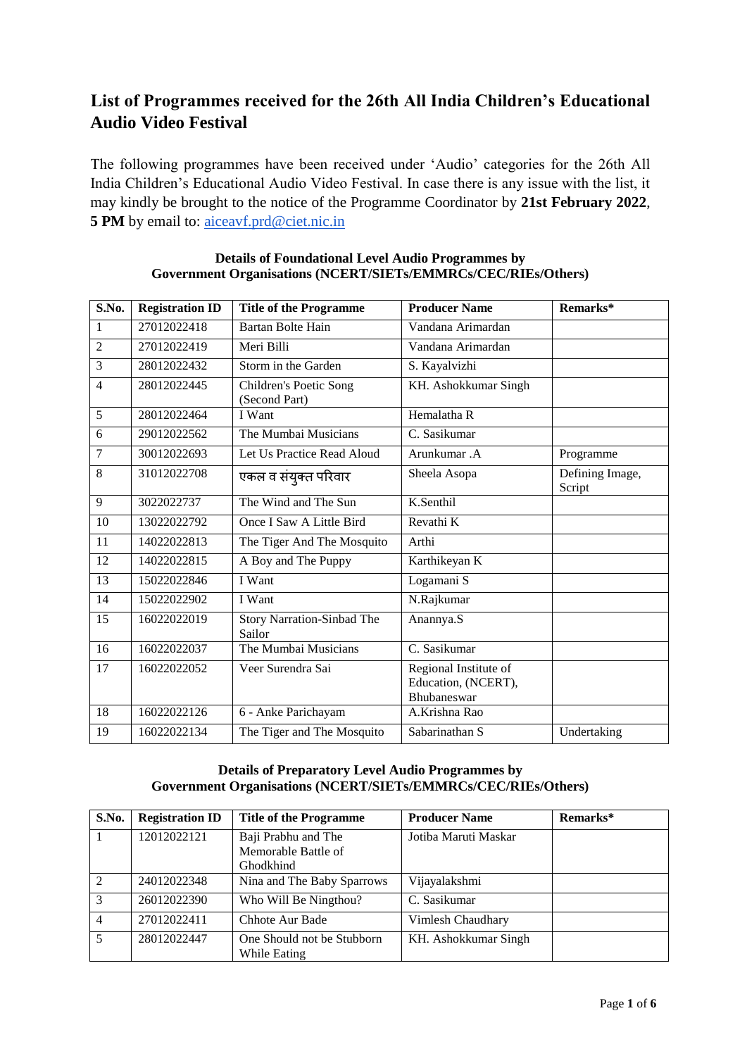# **List of Programmes received for the 26th All India Children's Educational Audio Video Festival**

The following programmes have been received under 'Audio' categories for the 26th All India Children's Educational Audio Video Festival. In case there is any issue with the list, it may kindly be brought to the notice of the Programme Coordinator by **21st February 2022**, 5 PM by email to: aiceavf.prd@ciet.nic.in

| S.No.          | <b>Registration ID</b> | <b>Title of the Programme</b>           | <b>Producer Name</b>                                        | Remarks*                  |
|----------------|------------------------|-----------------------------------------|-------------------------------------------------------------|---------------------------|
| $\mathbf{1}$   | 27012022418            | <b>Bartan Bolte Hain</b>                | Vandana Arimardan                                           |                           |
| $\overline{2}$ | 27012022419            | Meri Billi                              | Vandana Arimardan                                           |                           |
| 3              | 28012022432            | Storm in the Garden                     | S. Kayalvizhi                                               |                           |
| $\overline{4}$ | 28012022445            | Children's Poetic Song<br>(Second Part) | KH. Ashokkumar Singh                                        |                           |
| 5              | 28012022464            | I Want                                  | Hemalatha R                                                 |                           |
| 6              | 29012022562            | The Mumbai Musicians                    | C. Sasikumar                                                |                           |
| 7              | 30012022693            | Let Us Practice Read Aloud              | Arunkumar .A                                                | Programme                 |
| 8              | 31012022708            | एकल व संयुक्त परिवार                    | Sheela Asopa                                                | Defining Image,<br>Script |
| 9              | 3022022737             | The Wind and The Sun                    | K.Senthil                                                   |                           |
| 10             | 13022022792            | Once I Saw A Little Bird                | Revathi K                                                   |                           |
| 11             | 14022022813            | The Tiger And The Mosquito              | Arthi                                                       |                           |
| 12             | 14022022815            | A Boy and The Puppy                     | Karthikeyan K                                               |                           |
| 13             | 15022022846            | I Want                                  | Logamani S                                                  |                           |
| 14             | 15022022902            | I Want                                  | N.Rajkumar                                                  |                           |
| 15             | 16022022019            | Story Narration-Sinbad The<br>Sailor    | Anannya.S                                                   |                           |
| 16             | 16022022037            | The Mumbai Musicians                    | C. Sasikumar                                                |                           |
| 17             | 16022022052            | Veer Surendra Sai                       | Regional Institute of<br>Education, (NCERT),<br>Bhubaneswar |                           |
| 18             | 16022022126            | 6 - Anke Parichayam                     | A.Krishna Rao                                               |                           |
| 19             | 16022022134            | The Tiger and The Mosquito              | Sabarinathan S                                              | Undertaking               |

#### **Details of Foundational Level Audio Programmes by Government Organisations (NCERT/SIETs/EMMRCs/CEC/RIEs/Others)**

## **Details of Preparatory Level Audio Programmes by Government Organisations (NCERT/SIETs/EMMRCs/CEC/RIEs/Others)**

| S.No.          | <b>Registration ID</b> | <b>Title of the Programme</b> | <b>Producer Name</b> | Remarks* |
|----------------|------------------------|-------------------------------|----------------------|----------|
|                | 12012022121            | Baji Prabhu and The           | Jotiba Maruti Maskar |          |
|                |                        | Memorable Battle of           |                      |          |
|                |                        | Ghodkhind                     |                      |          |
| $\mathcal{L}$  | 24012022348            | Nina and The Baby Sparrows    | Vijayalakshmi        |          |
| $\mathcal{F}$  | 26012022390            | Who Will Be Ningthou?         | C. Sasikumar         |          |
| $\overline{4}$ | 27012022411            | Chhote Aur Bade               | Vimlesh Chaudhary    |          |
| 5              | 28012022447            | One Should not be Stubborn    | KH. Ashokkumar Singh |          |
|                |                        | While Eating                  |                      |          |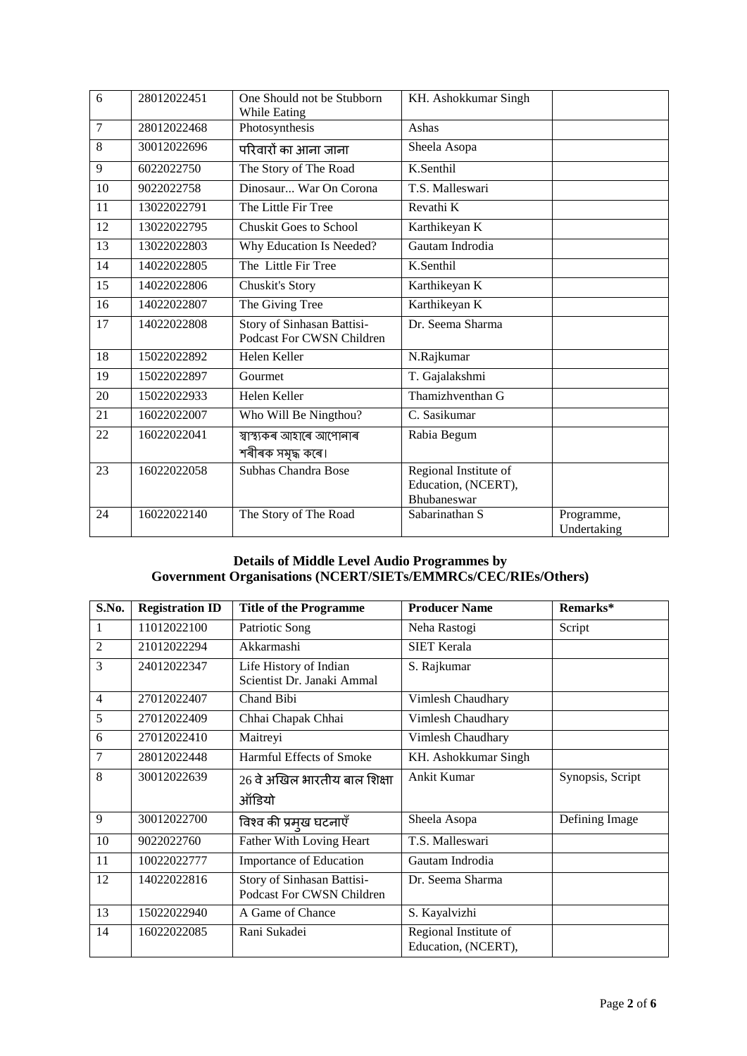| 6  | 28012022451 | One Should not be Stubborn<br>While Eating              | KH. Ashokkumar Singh                                        |                           |
|----|-------------|---------------------------------------------------------|-------------------------------------------------------------|---------------------------|
| 7  | 28012022468 | Photosynthesis                                          | Ashas                                                       |                           |
| 8  | 30012022696 | परिवारों का आना जाना                                    | Sheela Asopa                                                |                           |
| 9  | 6022022750  | The Story of The Road                                   | K.Senthil                                                   |                           |
| 10 | 9022022758  | Dinosaur War On Corona                                  | T.S. Malleswari                                             |                           |
| 11 | 13022022791 | The Little Fir Tree                                     | Revathi K                                                   |                           |
| 12 | 13022022795 | <b>Chuskit Goes to School</b>                           | Karthikeyan K                                               |                           |
| 13 | 13022022803 | Why Education Is Needed?                                | Gautam Indrodia                                             |                           |
| 14 | 14022022805 | The Little Fir Tree                                     | K.Senthil                                                   |                           |
| 15 | 14022022806 | Chuskit's Story                                         | Karthikeyan K                                               |                           |
| 16 | 14022022807 | The Giving Tree                                         | Karthikeyan K                                               |                           |
| 17 | 14022022808 | Story of Sinhasan Battisi-<br>Podcast For CWSN Children | Dr. Seema Sharma                                            |                           |
| 18 | 15022022892 | Helen Keller                                            | N.Rajkumar                                                  |                           |
| 19 | 15022022897 | Gourmet                                                 | T. Gajalakshmi                                              |                           |
| 20 | 15022022933 | Helen Keller                                            | Thamizhventhan G                                            |                           |
| 21 | 16022022007 | Who Will Be Ningthou?                                   | C. Sasikumar                                                |                           |
| 22 | 16022022041 | স্বাস্থ্যকৰ আহাৰে আপোনাৰ<br>শৰীৰক সমৃদ্ধ কৰে।           | Rabia Begum                                                 |                           |
| 23 | 16022022058 | Subhas Chandra Bose                                     | Regional Institute of<br>Education, (NCERT),<br>Bhubaneswar |                           |
| 24 | 16022022140 | The Story of The Road                                   | Sabarinathan S                                              | Programme,<br>Undertaking |

## **Details of Middle Level Audio Programmes by Government Organisations (NCERT/SIETs/EMMRCs/CEC/RIEs/Others)**

| S.No.          | <b>Registration ID</b> | <b>Title of the Programme</b>                           | <b>Producer Name</b>                         | Remarks*         |
|----------------|------------------------|---------------------------------------------------------|----------------------------------------------|------------------|
| 1              | 11012022100            | Patriotic Song                                          | Neha Rastogi                                 | Script           |
| $\overline{2}$ | 21012022294            | Akkarmashi                                              | <b>SIET Kerala</b>                           |                  |
| 3              | 24012022347            | Life History of Indian<br>Scientist Dr. Janaki Ammal    | S. Rajkumar                                  |                  |
| 4              | 27012022407            | Chand Bibi                                              | Vimlesh Chaudhary                            |                  |
| 5              | 27012022409            | Chhai Chapak Chhai                                      | Vimlesh Chaudhary                            |                  |
| 6              | 27012022410            | Maitreyi                                                | Vimlesh Chaudhary                            |                  |
| 7              | 28012022448            | Harmful Effects of Smoke                                | KH. Ashokkumar Singh                         |                  |
| 8              | 30012022639            | 26 वे अखिल भारतीय बाल शिक्षा<br>ऑडियो                   | Ankit Kumar                                  | Synopsis, Script |
| 9              | 30012022700            | विश्व की प्रमुख घटनाएँ                                  | Sheela Asopa                                 | Defining Image   |
| 10             | 9022022760             | Father With Loving Heart                                | T.S. Malleswari                              |                  |
| 11             | 10022022777            | Importance of Education                                 | Gautam Indrodia                              |                  |
| 12             | 14022022816            | Story of Sinhasan Battisi-<br>Podcast For CWSN Children | Dr. Seema Sharma                             |                  |
| 13             | 15022022940            | A Game of Chance                                        | S. Kayalvizhi                                |                  |
| 14             | 16022022085            | Rani Sukadei                                            | Regional Institute of<br>Education, (NCERT), |                  |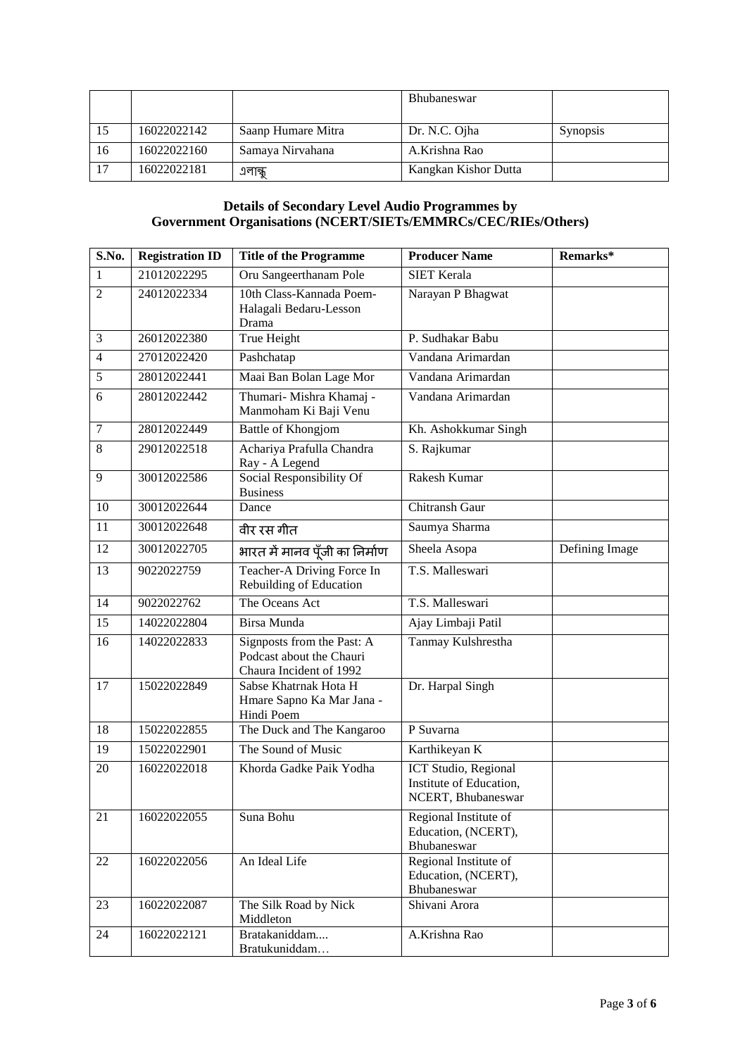|    |             |                    | <b>Bhubaneswar</b>   |                 |
|----|-------------|--------------------|----------------------|-----------------|
|    | 16022022142 | Saanp Humare Mitra | Dr. N.C. Ojha        | <b>Synopsis</b> |
| 16 | 16022022160 | Samaya Nirvahana   | A.Krishna Rao        |                 |
| 17 | 16022022181 | এলান্ধু            | Kangkan Kishor Dutta |                 |

#### **Details of Secondary Level Audio Programmes by Government Organisations (NCERT/SIETs/EMMRCs/CEC/RIEs/Others)**

| S.No.           | <b>Registration ID</b> | <b>Title of the Programme</b>                                                     | <b>Producer Name</b>                                                          | Remarks*       |
|-----------------|------------------------|-----------------------------------------------------------------------------------|-------------------------------------------------------------------------------|----------------|
| $\mathbf{1}$    | 21012022295            | Oru Sangeerthanam Pole                                                            | <b>SIET Kerala</b>                                                            |                |
| $\overline{2}$  | 24012022334            | 10th Class-Kannada Poem-<br>Halagali Bedaru-Lesson<br>Drama                       | Narayan P Bhagwat                                                             |                |
| 3               | 26012022380            | <b>True Height</b>                                                                | P. Sudhakar Babu                                                              |                |
| $\overline{4}$  | 27012022420            | Pashchatap                                                                        | Vandana Arimardan                                                             |                |
| 5               | 28012022441            | Maai Ban Bolan Lage Mor                                                           | Vandana Arimardan                                                             |                |
| 6               | 28012022442            | Thumari- Mishra Khamaj -<br>Manmoham Ki Baji Venu                                 | Vandana Arimardan                                                             |                |
| $\tau$          | 28012022449            | Battle of Khongjom                                                                | Kh. Ashokkumar Singh                                                          |                |
| 8               | 29012022518            | Achariya Prafulla Chandra<br>Ray - A Legend                                       | S. Rajkumar                                                                   |                |
| 9               | 30012022586            | Social Responsibility Of<br><b>Business</b>                                       | Rakesh Kumar                                                                  |                |
| 10              | 30012022644            | Dance                                                                             | <b>Chitransh Gaur</b>                                                         |                |
| 11              | 30012022648            | वीर रस गीत                                                                        | Saumya Sharma                                                                 |                |
| 12              | 30012022705            | भारत में मानव पूँजी का निर्माण                                                    | Sheela Asopa                                                                  | Defining Image |
| 13              | 9022022759             | Teacher-A Driving Force In<br>Rebuilding of Education                             | T.S. Malleswari                                                               |                |
| 14              | 9022022762             | The Oceans Act                                                                    | T.S. Malleswari                                                               |                |
| 15              | 14022022804            | Birsa Munda                                                                       | Ajay Limbaji Patil                                                            |                |
| 16              | 14022022833            | Signposts from the Past: A<br>Podcast about the Chauri<br>Chaura Incident of 1992 | Tanmay Kulshrestha                                                            |                |
| 17              | 15022022849            | Sabse Khatrnak Hota H<br>Hmare Sapno Ka Mar Jana -<br>Hindi Poem                  | Dr. Harpal Singh                                                              |                |
| 18              | 15022022855            | The Duck and The Kangaroo                                                         | P Suvarna                                                                     |                |
| $\overline{19}$ | 15022022901            | The Sound of Music                                                                | Karthikeyan K                                                                 |                |
| 20              | 16022022018            | Khorda Gadke Paik Yodha                                                           | <b>ICT Studio</b> , Regional<br>Institute of Education,<br>NCERT, Bhubaneswar |                |
| 21              | 16022022055            | Suna Bohu                                                                         | Regional Institute of<br>Education, (NCERT),<br>Bhubaneswar                   |                |
| 22              | 16022022056            | An Ideal Life                                                                     | Regional Institute of<br>Education, (NCERT),<br>Bhubaneswar                   |                |
| 23              | 16022022087            | The Silk Road by Nick<br>Middleton                                                | Shivani Arora                                                                 |                |
| 24              | 16022022121            | Bratakaniddam<br>Bratukuniddam                                                    | A.Krishna Rao                                                                 |                |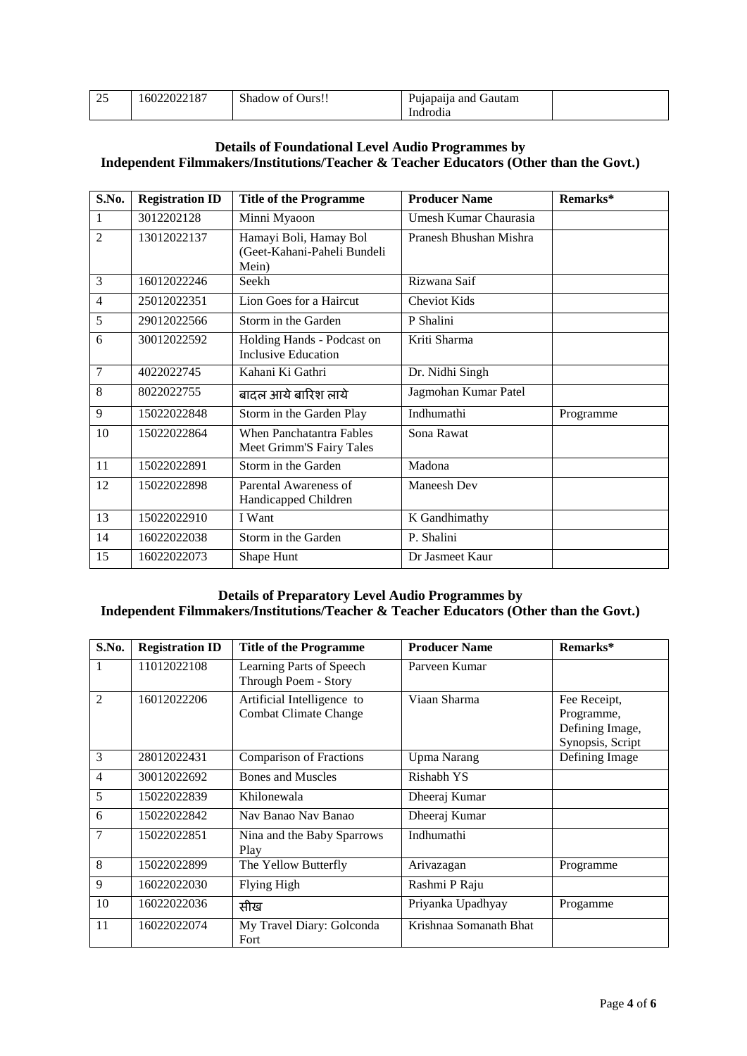| $\Delta$ $\epsilon$<br><u>_</u> | 16022022187 | $^{\sim}$<br>Ours!!<br>Shadow of | $\ddot{\phantom{a}}$<br>Gautam<br>Pujapaija and |  |
|---------------------------------|-------------|----------------------------------|-------------------------------------------------|--|
|                                 |             |                                  | Indrodia                                        |  |

## **Details of Foundational Level Audio Programmes by Independent Filmmakers/Institutions/Teacher & Teacher Educators (Other than the Govt.)**

| S.No.          | <b>Registration ID</b> | <b>Title of the Programme</b>                                  | <b>Producer Name</b>   | Remarks*  |
|----------------|------------------------|----------------------------------------------------------------|------------------------|-----------|
| 1              | 3012202128             | Minni Myaoon                                                   | Umesh Kumar Chaurasia  |           |
| $\mathfrak{D}$ | 13012022137            | Hamayi Boli, Hamay Bol<br>(Geet-Kahani-Paheli Bundeli<br>Mein) | Pranesh Bhushan Mishra |           |
| 3              | 16012022246            | Seekh                                                          | Rizwana Saif           |           |
| 4              | 25012022351            | Lion Goes for a Haircut                                        | <b>Cheviot Kids</b>    |           |
| 5              | 29012022566            | Storm in the Garden                                            | P Shalini              |           |
| 6              | 30012022592            | Holding Hands - Podcast on<br>Inclusive Education              | Kriti Sharma           |           |
| $\overline{7}$ | 4022022745             | Kahani Ki Gathri                                               | Dr. Nidhi Singh        |           |
| 8              | 8022022755             | बादल आये बारिश लाये                                            | Jagmohan Kumar Patel   |           |
| 9              | 15022022848            | Storm in the Garden Play                                       | Indhumathi             | Programme |
| 10             | 15022022864            | <b>When Panchatantra Fables</b><br>Meet Grimm'S Fairy Tales    | Sona Rawat             |           |
| 11             | 15022022891            | Storm in the Garden                                            | Madona                 |           |
| 12             | 15022022898            | Parental Awareness of<br>Handicapped Children                  | Maneesh Dev            |           |
| 13             | 15022022910            | I Want                                                         | K Gandhimathy          |           |
| 14             | 16022022038            | Storm in the Garden                                            | P. Shalini             |           |
| 15             | 16022022073            | Shape Hunt                                                     | Dr Jasmeet Kaur        |           |

## **Details of Preparatory Level Audio Programmes by Independent Filmmakers/Institutions/Teacher & Teacher Educators (Other than the Govt.)**

| S.No.          | <b>Registration ID</b> | <b>Title of the Programme</b>                       | <b>Producer Name</b>   | Remarks*                                                          |
|----------------|------------------------|-----------------------------------------------------|------------------------|-------------------------------------------------------------------|
| 1              | 11012022108            | Learning Parts of Speech<br>Through Poem - Story    | Parveen Kumar          |                                                                   |
| $\mathfrak{D}$ | 16012022206            | Artificial Intelligence to<br>Combat Climate Change | Viaan Sharma           | Fee Receipt,<br>Programme,<br>Defining Image,<br>Synopsis, Script |
| 3              | 28012022431            | Comparison of Fractions                             | <b>Upma Narang</b>     | Defining Image                                                    |
| 4              | 30012022692            | <b>Bones and Muscles</b>                            | Rishabh YS             |                                                                   |
| 5              | 15022022839            | Khilonewala                                         | Dheeraj Kumar          |                                                                   |
| 6              | 15022022842            | Nav Banao Nav Banao                                 | Dheeraj Kumar          |                                                                   |
| 7              | 15022022851            | Nina and the Baby Sparrows<br>Play                  | Indhumathi             |                                                                   |
| 8              | 15022022899            | The Yellow Butterfly                                | Arivazagan             | Programme                                                         |
| 9              | 16022022030            | Flying High                                         | Rashmi P Raju          |                                                                   |
| 10             | 16022022036            | सीख                                                 | Priyanka Upadhyay      | Progamme                                                          |
| 11             | 16022022074            | My Travel Diary: Golconda<br>Fort                   | Krishnaa Somanath Bhat |                                                                   |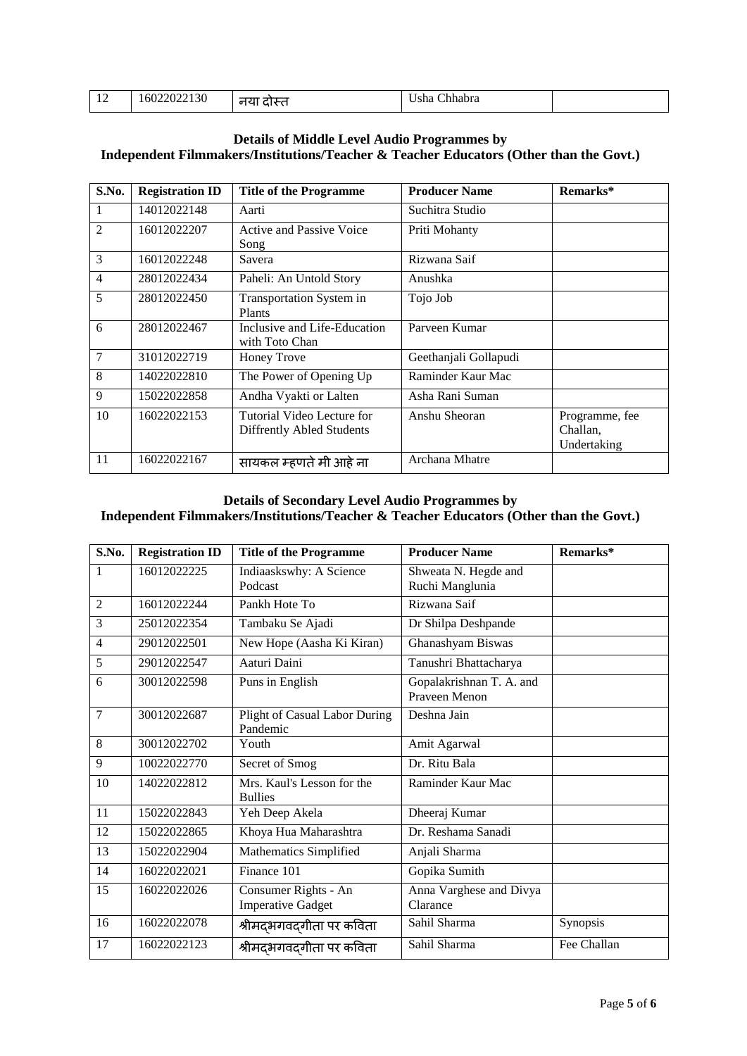|     |                      | ---                                                     |  |
|-----|----------------------|---------------------------------------------------------|--|
| . . | 130<br>16022022<br>. | $\sim$ la se $\sim$<br>sha<br>.<br>Unnaora<br>_________ |  |
|     |                      |                                                         |  |

## **Details of Middle Level Audio Programmes by Independent Filmmakers/Institutions/Teacher & Teacher Educators (Other than the Govt.)**

| S.No.          | <b>Registration ID</b> | <b>Title of the Programme</b>                           | <b>Producer Name</b>  | Remarks*                                  |
|----------------|------------------------|---------------------------------------------------------|-----------------------|-------------------------------------------|
|                | 14012022148            | Aarti                                                   | Suchitra Studio       |                                           |
| $\overline{2}$ | 16012022207            | Active and Passive Voice<br>Song                        | Priti Mohanty         |                                           |
| 3              | 16012022248            | Savera                                                  | Rizwana Saif          |                                           |
| $\overline{4}$ | 28012022434            | Paheli: An Untold Story                                 | Anushka               |                                           |
| 5              | 28012022450            | Transportation System in<br><b>Plants</b>               | Tojo Job              |                                           |
| 6              | 28012022467            | Inclusive and Life-Education<br>with Toto Chan          | Parveen Kumar         |                                           |
| $\overline{7}$ | 31012022719            | <b>Honey Trove</b>                                      | Geethanjali Gollapudi |                                           |
| 8              | 14022022810            | The Power of Opening Up                                 | Raminder Kaur Mac     |                                           |
| 9              | 15022022858            | Andha Vyakti or Lalten                                  | Asha Rani Suman       |                                           |
| 10             | 16022022153            | Tutorial Video Lecture for<br>Diffrently Abled Students | Anshu Sheoran         | Programme, fee<br>Challan,<br>Undertaking |
| 11             | 16022022167            | सायकल म्हणते मी आहे ना                                  | Archana Mhatre        |                                           |

#### **Details of Secondary Level Audio Programmes by Independent Filmmakers/Institutions/Teacher & Teacher Educators (Other than the Govt.)**

| S.No.          | <b>Registration ID</b> | <b>Title of the Programme</b>                    | <b>Producer Name</b>                      | Remarks*    |
|----------------|------------------------|--------------------------------------------------|-------------------------------------------|-------------|
| 1              | 16012022225            | Indiaaskswhy: A Science                          | Shweata N. Hegde and                      |             |
|                |                        | Podcast                                          | Ruchi Manglunia                           |             |
| $\overline{2}$ | 16012022244            | Pankh Hote To                                    | Rizwana Saif                              |             |
| 3              | 25012022354            | Tambaku Se Ajadi                                 | Dr Shilpa Deshpande                       |             |
| 4              | 29012022501            | New Hope (Aasha Ki Kiran)                        | Ghanashyam Biswas                         |             |
| 5              | 29012022547            | Aaturi Daini                                     | Tanushri Bhattacharya                     |             |
| 6              | 30012022598            | Puns in English                                  | Gopalakrishnan T. A. and<br>Praveen Menon |             |
| $\overline{7}$ | 30012022687            | Plight of Casual Labor During<br>Pandemic        | Deshna Jain                               |             |
| 8              | 30012022702            | Youth                                            | Amit Agarwal                              |             |
| 9              | 10022022770            | Secret of Smog                                   | Dr. Ritu Bala                             |             |
| 10             | 14022022812            | Mrs. Kaul's Lesson for the<br><b>Bullies</b>     | Raminder Kaur Mac                         |             |
| 11             | 15022022843            | Yeh Deep Akela                                   | Dheeraj Kumar                             |             |
| 12             | 15022022865            | Khoya Hua Maharashtra                            | Dr. Reshama Sanadi                        |             |
| 13             | 15022022904            | Mathematics Simplified                           | Anjali Sharma                             |             |
| 14             | 16022022021            | Finance 101                                      | Gopika Sumith                             |             |
| 15             | 16022022026            | Consumer Rights - An<br><b>Imperative Gadget</b> | Anna Varghese and Divya<br>Clarance       |             |
| 16             | 16022022078            | श्रीमद्भगवद्गीता पर कविता                        | Sahil Sharma                              | Synopsis    |
| 17             | 16022022123            | श्रीमदभगवदगीता पर कविता                          | Sahil Sharma                              | Fee Challan |